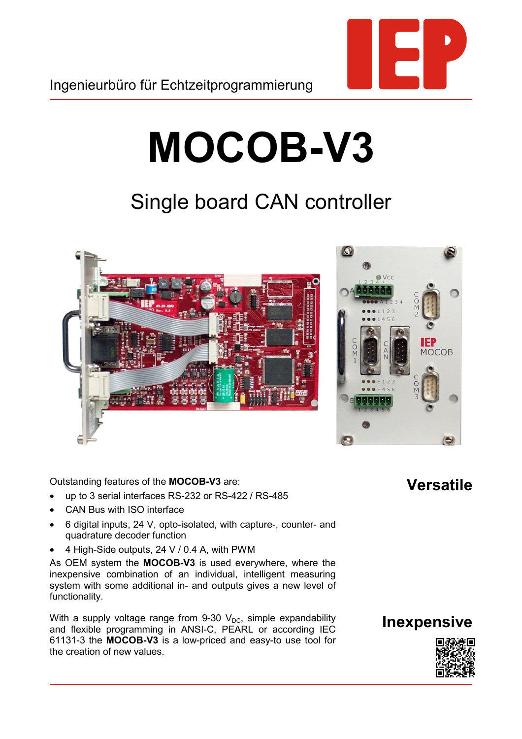

## **MOCOB-V3**

## Single board CAN controller





## Outstanding features of the **MOCOB-V3** are:

- up to 3 serial interfaces RS-232 or RS-422 / RS-485
- CAN Bus with ISO interface
- 6 digital inputs, 24 V, opto-isolated, with capture-, counter- and quadrature decoder function
- 4 High-Side outputs, 24 V / 0.4 A, with PWM

As OEM system the **MOCOB-V3** is used everywhere, where the inexpensive combination of an individual, intelligent measuring system with some additional in- and outputs gives a new level of functionality.

With a supply voltage range from 9-30  $V_{DC}$ , simple expandability and flexible programming in ANSI-C, PEARL or according IEC 61131-3 the **MOCOB-V3** is a low-priced and easy-to use tool for the creation of new values.

## **Versatile**